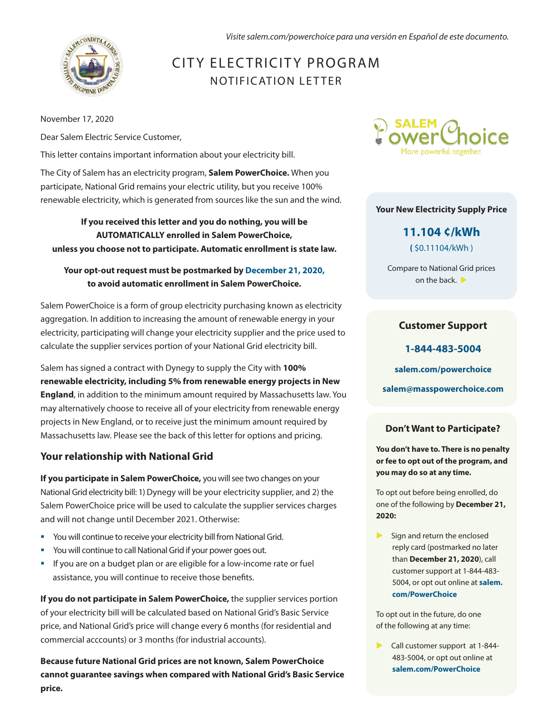*Visite salem.com/powerchoice para una versión en Español de este documento.*



# CITY ELECTRICITY PROGRAM NOTIFICATION LETTER

November 17, 2020

Dear Salem Electric Service Customer,

This letter contains important information about your electricity bill.

The City of Salem has an electricity program, **Salem PowerChoice.** When you participate, National Grid remains your electric utility, but you receive 100% renewable electricity, which is generated from sources like the sun and the wind.

**If you received this letter and you do nothing, you will be AUTOMATICALLY enrolled in Salem PowerChoice, unless you choose not to participate. Automatic enrollment is state law.**

#### **Your opt-out request must be postmarked by December 21, 2020, to avoid automatic enrollment in Salem PowerChoice.**

Salem PowerChoice is a form of group electricity purchasing known as electricity aggregation. In addition to increasing the amount of renewable energy in your electricity, participating will change your electricity supplier and the price used to calculate the supplier services portion of your National Grid electricity bill.

Salem has signed a contract with Dynegy to supply the City with **100% renewable electricity, including 5% from renewable energy projects in New England**, in addition to the minimum amount required by Massachusetts law. You may alternatively choose to receive all of your electricity from renewable energy projects in New England, or to receive just the minimum amount required by Massachusetts law. Please see the back of this letter for options and pricing.

### **Your relationship with National Grid**

**If you participate in Salem PowerChoice,** you will see two changes on your National Grid electricity bill: 1) Dynegy will be your electricity supplier, and 2) the Salem PowerChoice price will be used to calculate the supplier services charges and will not change until December 2021. Otherwise:

- You will continue to receive your electricity bill from National Grid.
- You will continue to call National Grid if your power goes out.
- **•** If you are on a budget plan or are eligible for a low-income rate or fuel assistance, you will continue to receive those benefits.

**If you do not participate in Salem PowerChoice,** the supplier services portion of your electricity bill will be calculated based on National Grid's Basic Service price, and National Grid's price will change every 6 months (for residential and commercial acccounts) or 3 months (for industrial accounts).

**Because future National Grid prices are not known, Salem PowerChoice cannot guarantee savings when compared with National Grid's Basic Service price.**



#### **Your New Electricity Supply Price**

**11.104 ¢/kWh (** \$0.11104/kWh )

Compare to National Grid prices on the back.  $\blacktriangleright$ 

#### **Customer Support**

**1-844-483-5004 salem.com/powerchoice salem@masspowerchoice.com** 

#### **Don't Want to Participate?**

**You don't have to. There is no penalty or fee to opt out of the program, and you may do so at any time.** 

To opt out before being enrolled, do one of the following by **December 21, 2020:** 

 Sign and return the enclosed reply card (postmarked no later than **December 21, 2020**), call customer support at 1-844-483- 5004, or opt out online at **salem. com/PowerChoice**

To opt out in the future, do one of the following at any time:

Call customer support at 1-844-483-5004, or opt out online at **salem.com/PowerChoice**